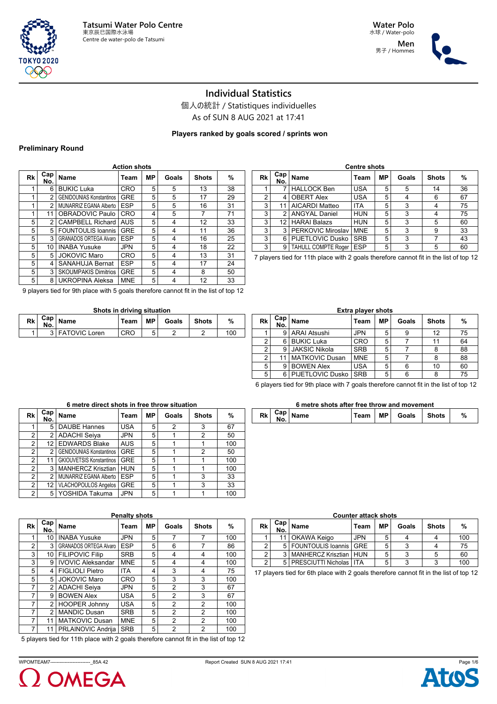





## **Individual Statistics**

個人の統計 / Statistiques individuelles As of SUN 8 AUG 2021 at 17:41

## **Players ranked by goals scored / sprints won**

#### **Preliminary Round**

| <b>Action shots</b> |                         |                                 |            |           |       |              |    |  |  |  |  |
|---------------------|-------------------------|---------------------------------|------------|-----------|-------|--------------|----|--|--|--|--|
| Rk                  | Cap <sub>1</sub><br>No. | Name                            | Team       | <b>MP</b> | Goals | <b>Shots</b> | %  |  |  |  |  |
| 1                   | 6                       | <b>BUKIC Luka</b>               | CRO        | 5         | 5     | 13           | 38 |  |  |  |  |
| 1                   | 2                       | <b>GENIDOUNIAS Konstantinos</b> | <b>GRE</b> | 5         | 5     | 17           | 29 |  |  |  |  |
| 1                   | $\mathfrak{p}$          | MUNARRIZ EGANA Alberto          | <b>ESP</b> | 5         | 5     | 16           | 31 |  |  |  |  |
| 1                   | 11                      | OBRADOVIC Paulo                 | <b>CRO</b> | 4         | 5     | 7            | 71 |  |  |  |  |
| 5                   | $\mathfrak{p}$          | <b>CAMPBELL Richard</b>         | <b>AUS</b> | 5         | 4     | 12           | 33 |  |  |  |  |
| 5                   | 5                       | <b>FOUNTOULIS Ioannis</b>       | <b>GRE</b> | 5         | 4     | 11           | 36 |  |  |  |  |
| 5                   | 3                       | <b>GRANADOS ORTEGA Alvaro</b>   | <b>ESP</b> | 5         | 4     | 16           | 25 |  |  |  |  |
| 5                   | 10                      | <b>INABA Yusuke</b>             | <b>JPN</b> | 5         | 4     | 18           | 22 |  |  |  |  |
| 5                   | 5                       | <b>JOKOVIC Maro</b>             | <b>CRO</b> | 5         | 4     | 13           | 31 |  |  |  |  |
| 5                   | 4                       | <b>SANAHUJA Bernat</b>          | <b>ESP</b> | 5         | 4     | 17           | 24 |  |  |  |  |
| 5                   | 3                       | <b>SKOUMPAKIS Dimitrios</b>     | <b>GRE</b> | 5         | 4     | 8            | 50 |  |  |  |  |
| 5                   | 8                       | <b>UKROPINA Aleksa</b>          | <b>MNE</b> | 5         | 4     | 12           | 33 |  |  |  |  |

|    | <b>Centre shots</b> |                            |            |    |       |              |    |  |  |  |  |  |
|----|---------------------|----------------------------|------------|----|-------|--------------|----|--|--|--|--|--|
| Rk | Cap<br>No.          | <b>Name</b>                | Team       | МP | Goals | <b>Shots</b> | %  |  |  |  |  |  |
| 4  |                     | <b>HALLOCK Ben</b>         | <b>USA</b> | 5  | 5     | 14           | 36 |  |  |  |  |  |
| 2  | 4                   | <b>OBERT Alex</b>          | <b>USA</b> | 5  | 4     | 6            | 67 |  |  |  |  |  |
| 3  | 11                  | AICARDI Matteo             | ITA        | 5  | 3     | 4            | 75 |  |  |  |  |  |
| 3  | 2                   | <b>ANGYAL Daniel</b>       | <b>HUN</b> | 5  | 3     | 4            | 75 |  |  |  |  |  |
| 3  | 12                  | <b>HARAI Balazs</b>        | <b>HUN</b> | 5  | 3     | 5            | 60 |  |  |  |  |  |
| 3  | 3                   | PERKOVIC Miroslav          | <b>MNE</b> | 5  | 3     | 9            | 33 |  |  |  |  |  |
| 3  | 6                   | PIJETLOVIC Dusko           | <b>SRB</b> | 5  | 3     |              | 43 |  |  |  |  |  |
| 3  | 9                   | <b>TAHULL COMPTE Roger</b> | <b>ESP</b> | 5  | 3     | 5            | 60 |  |  |  |  |  |

7 players tied for 11th place with 2 goals therefore cannot fit in the list of top 12

9 players tied for 9th place with 5 goals therefore cannot fit in the list of top 12

#### **Shots in driving situation**

| Rk | Cap I<br>No. | Name              | Team | <b>MP</b> | Goals | <b>Shots</b> | %   |
|----|--------------|-------------------|------|-----------|-------|--------------|-----|
|    |              | 3   FATOVIC Loren | CRC  | ື         |       |              | 10C |

|                | <b>Extra player shots</b> |                         |            |    |       |              |    |  |  |  |  |  |
|----------------|---------------------------|-------------------------|------------|----|-------|--------------|----|--|--|--|--|--|
| Rk             | Cap  <br>No.              | <b>Name</b>             | Team       | МP | Goals | <b>Shots</b> | %  |  |  |  |  |  |
|                | 9                         | <b>ARAI Atsushi</b>     | <b>JPN</b> | 5  |       | 12           | 75 |  |  |  |  |  |
| 2              | 6                         | <b>BUKIC Luka</b>       | <b>CRO</b> | 5  |       | 11           | 64 |  |  |  |  |  |
| 2              | 9                         | <b>JAKSIC Nikola</b>    | <b>SRB</b> | 5  |       | 8            | 88 |  |  |  |  |  |
| $\overline{2}$ | 11                        | <b>MATKOVIC Dusan</b>   | <b>MNE</b> | 5  |       | 8            | 88 |  |  |  |  |  |
| 5              | 9                         | <b>BOWEN Alex</b>       | <b>USA</b> | 5  | 6     | 10           | 60 |  |  |  |  |  |
| 5              | 6                         | <b>PIJETLOVIC Dusko</b> | <b>SRB</b> | 5  | ่ค    |              | 75 |  |  |  |  |  |

6 players tied for 9th place with 7 goals therefore cannot fit in the list of top 12

#### **6 metre direct shots in free throw situation Rk Cap No. Name Team MP Goals Shots %** 1 5 DAUBE Hannes USA 5 2 3 67<br>2 2 ADACHI Seiva JPN 5 1 2 50 2 2 ADACHI Seiya JPN 5 1 2 50<br>2 12 EDWARDS Blake AUS 5 1 1 1 100 12 EDWARDS Blake 2 2 GENIDOUNIAS Konstantinos GRE 5 1 2 50 2 11 GKIOUVETSIS Konstantinos GRE 5 1 1 1 100 2 3 MANHERCZ Krisztian HUN 5 1 1 1 100 2 2 MUNARRIZ EGANA Alberto ESP 5 1 3 3 33 2 12 VLACHOPOULOS Angelos GRE 5 1 3 33 2 5 YOSHIDA Takuma JPN 5 1 1 1 100

|  | 6 metre shots after free throw and movement |  |                                                                                                |  |
|--|---------------------------------------------|--|------------------------------------------------------------------------------------------------|--|
|  |                                             |  | $\tau$ <sub>com</sub> $\overline{\text{MD}}$ $\overline{\text{Coul}}$ $\overline{\text{Coul}}$ |  |

|  | $Rk \begin{bmatrix} Cap \\ No. \end{bmatrix}$ Name | Team | MP I | Goals | Shots |  |
|--|----------------------------------------------------|------|------|-------|-------|--|

| Rk             | Cap <sub>1</sub> | <b>Name</b>                   | Team       | MР | Goals          | <b>Shots</b> | %   |
|----------------|------------------|-------------------------------|------------|----|----------------|--------------|-----|
|                | No.              |                               |            |    |                |              |     |
| 1              | 10               | <b>INABA Yusuke</b>           | <b>JPN</b> | 5  | 7              | 7            | 100 |
| 2              | 3                | <b>GRANADOS ORTEGA Alvaro</b> | <b>ESP</b> | 5  | 6              | 7            | 86  |
| 3              | 10               | <b>FILIPOVIC Filip</b>        | <b>SRB</b> | 5  | 4              | 4            | 100 |
| 3              | 9                | <b>IVOVIC Aleksandar</b>      | <b>MNE</b> | 5  | 4              | 4            | 100 |
| 5              | 4                | <b>FIGLIOLI Pietro</b>        | <b>ITA</b> | 4  | 3              | 4            | 75  |
| 5              | 5                | <b>JOKOVIC Maro</b>           | CRO        | 5  | 3              | 3            | 100 |
| $\overline{7}$ | 2                | <b>ADACHI Seiya</b>           | <b>JPN</b> | 5  | 2              | 3            | 67  |
| $\overline{7}$ | 9                | <b>BOWEN Alex</b>             | <b>USA</b> | 5  | $\mathfrak{p}$ | 3            | 67  |
| $\overline{7}$ | 2                | <b>HOOPER Johnny</b>          | <b>USA</b> | 5  | 2              | 2            | 100 |
| $\overline{7}$ | $\mathfrak{p}$   | <b>MANDIC Dusan</b>           | <b>SRB</b> | 5  | 2              | 2            | 100 |
| $\overline{7}$ | 11               | <b>MATKOVIC Dusan</b>         | <b>MNE</b> | 5  | 2              | 2            | 100 |
| 7              | 11               | PRLAINOVIC Andrija            | <b>SRB</b> | 5  | 2              | 2            | 100 |

5 players tied for 11th place with 2 goals therefore cannot fit in the list of top 12

|                | <b>Counter attack shots</b> |                               |      |           |       |              |     |  |  |  |  |  |
|----------------|-----------------------------|-------------------------------|------|-----------|-------|--------------|-----|--|--|--|--|--|
| Rk l           | $Cap \mid$<br>No.           | <b>Name</b>                   | Team | <b>MP</b> | Goals | <b>Shots</b> | %   |  |  |  |  |  |
|                |                             | 11   OKAWA Keigo              | JPN  |           |       |              | 100 |  |  |  |  |  |
| 2              |                             | 5   FOUNTOULIS Ioannis   GRE  |      |           | 3     |              | 75  |  |  |  |  |  |
| 2              | 3                           | MANHERCZ Krisztian   HUN      |      |           | 3     |              | 60  |  |  |  |  |  |
| $\overline{2}$ |                             | 5   PRESCIUTTI Nicholas   ITA |      |           | 3     | 2            | 100 |  |  |  |  |  |

17 players tied for 6th place with 2 goals therefore cannot fit in the list of top 12



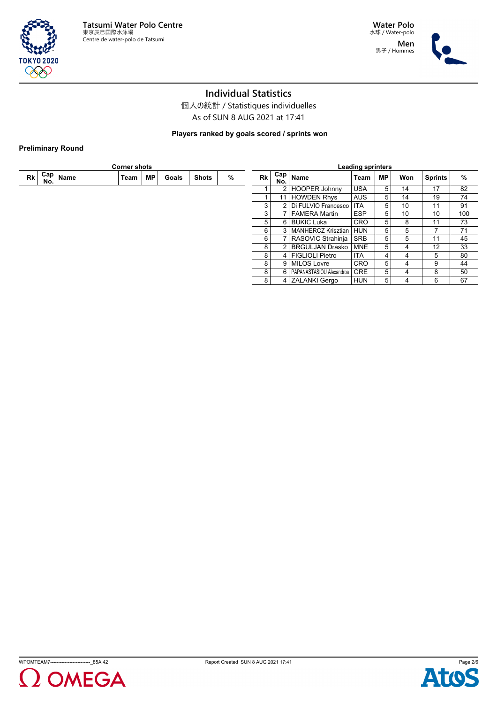

**Water Polo** 水球 / Water-polo **Men** 男子 / Hommes



# **Individual Statistics**

個人の統計 / Statistiques individuelles As of SUN 8 AUG 2021 at 17:41

**Players ranked by goals scored / sprints won**

## **Preliminary Round**

| <b>Corner shots</b> |     |                         |      |    |       |              | <b>Leading sprinters</b> |                |                   |                              |            |           |     |                |     |
|---------------------|-----|-------------------------|------|----|-------|--------------|--------------------------|----------------|-------------------|------------------------------|------------|-----------|-----|----------------|-----|
| Rk l                | No. | .⊣ <sup>Cap</sup> │Name | Team | МP | Goals | <b>Shots</b> | %                        | Rk l           | $Cap \mid$<br>No. | <b>Name</b>                  | Team       | <b>MP</b> | Won | <b>Sprints</b> | %   |
|                     |     |                         |      |    |       |              |                          |                |                   | 2   HOOPER Johnny            | <b>USA</b> | 5         | 14  | 17             | 82  |
|                     |     |                         |      |    |       |              |                          |                |                   | 11   HOWDEN Rhys             | <b>AUS</b> | 5         | 14  | 19             | 74  |
|                     |     |                         |      |    |       |              |                          | 3              |                   | 2   Di FULVIO Francesco      | <b>ITA</b> | 5         | 10  | 11             | 91  |
|                     |     |                         |      |    |       |              |                          | 3              |                   | <b>FAMERA Martin</b>         | <b>ESP</b> | 5         | 10  | 10             | 100 |
|                     |     |                         |      |    |       |              |                          | 5              |                   | 6 BUKIC Luka                 | <b>CRO</b> | 5         | 8   | 11             | 73  |
|                     |     |                         |      |    |       |              |                          | 6              |                   | 3   MANHERCZ Krisztian       | <b>HUN</b> | 5         | 5   |                | 71  |
|                     |     |                         |      |    |       |              |                          | $6 \mid$       |                   | RASOVIC Strahinja            | SRB        | 5         | 5   | 11             | 45  |
|                     |     |                         |      |    |       |              |                          | 8              |                   | 2 BRGULJAN Drasko            | <b>MNE</b> | 5         | 4   | 12             | 33  |
|                     |     |                         |      |    |       |              |                          | 8              |                   | 4   FIGLIOLI Pietro          | ITA.       | 4         | 4   | 5              | 80  |
|                     |     |                         |      |    |       |              |                          | 8              |                   | 9   MILOS Lovre              | <b>CRO</b> | 5         | 4   | 9              | 44  |
|                     |     |                         |      |    |       |              |                          | 8              |                   | 6   PAPANASTASIOU Alexandros | <b>GRE</b> | 5         | 4   | 8              | 50  |
|                     |     |                         |      |    |       |              |                          | 8 <sup>1</sup> |                   | 4 ZALANKI Gergo              | <b>HUN</b> | 5         | 4   | 6              | 67  |
|                     |     |                         |      |    |       |              |                          |                |                   |                              |            |           |     |                |     |





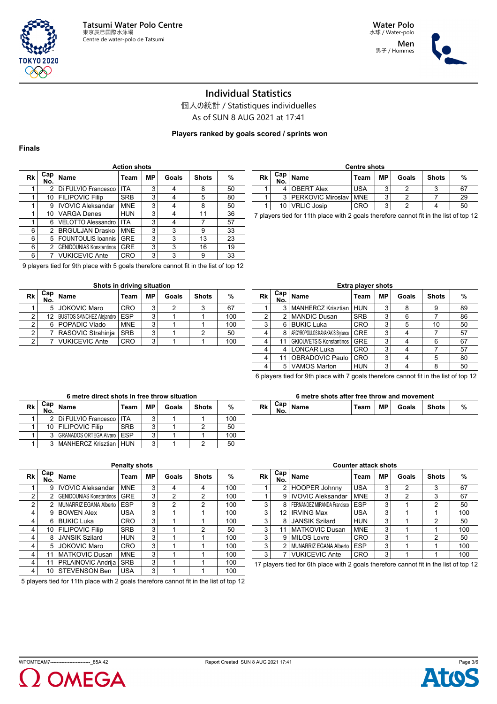

**Men** 男子 / Hommes



# **Individual Statistics**

個人の統計 / Statistiques individuelles

As of SUN 8 AUG 2021 at 17:41

**Players ranked by goals scored / sprints won**

### **Finals**

| Rk | Cap <sub>1</sub><br>No. | Name                            | Team       | <b>MP</b> | Goals | <b>Shots</b> | %  |
|----|-------------------------|---------------------------------|------------|-----------|-------|--------------|----|
|    | 2                       | Di FULVIO Francesco             | <b>ITA</b> | 3         |       | 8            | 50 |
|    | 10                      | <b>FILIPOVIC Filip</b>          | <b>SRB</b> | 3         | 4     | 5            | 80 |
|    | 9                       | <b>IVOVIC Aleksandar</b>        | <b>MNE</b> | 3         |       | 8            | 50 |
|    | 10                      | <b>VARGA Denes</b>              | <b>HUN</b> | 3         | 4     | 11           | 36 |
|    | 6                       | <b>VELOTTO Alessandro</b>       | <b>ITA</b> | 3         | 4     |              | 57 |
| 6  | $\mathfrak{p}$          | <b>BRGULJAN Drasko</b>          | <b>MNE</b> | 3         | 3     | 9            | 33 |
| 6  | 5                       | <b>FOUNTOULIS loannis</b>       | <b>GRE</b> | 3         | 3     | 13           | 23 |
| 6  | 2                       | <b>GENIDOUNIAS Konstantinos</b> | <b>GRE</b> | 3         | 3     | 16           | 19 |
| 6  |                         | <b>VUKICEVIC Ante</b>           | <b>CRO</b> | 3         | 3     | 9            | 33 |

9 players tied for 9th place with 5 goals therefore cannot fit in the list of top 12

| Shots in driving situation |  |  |
|----------------------------|--|--|
|                            |  |  |

| Rk | Cap<br>No. | <b>Name</b>                     | Team       | МP | Goals | <b>Shots</b> | %   |
|----|------------|---------------------------------|------------|----|-------|--------------|-----|
|    |            | 5 JOKOVIC Maro                  | CRO        | ົ  |       |              | 67  |
|    | 12 I       | <b>BUSTOS SANCHEZ Aleiandro</b> | <b>ESP</b> | ◠  |       |              | 100 |
| ◠  |            | 6   POPADIC Vlado               | <b>MNE</b> | ົ  |       |              | 100 |
| ົ  |            | RASOVIC Strahinja               | <b>SRB</b> | ົ  |       |              | 50  |
|    |            | <b>VUKICEVIC Ante</b>           | CRO        | 3  |       |              | 100 |

| <b>Centre shots</b> |                 |                             |            |                          |       |              |    |  |  |  |  |
|---------------------|-----------------|-----------------------------|------------|--------------------------|-------|--------------|----|--|--|--|--|
| Rk                  | No.             | . ⊢Cap   <sub>Name</sub>    | Team       | МP                       | Goals | <b>Shots</b> | %  |  |  |  |  |
|                     |                 | <b>OBERT Alex</b>           | <b>USA</b> | ◠                        |       |              | 67 |  |  |  |  |
|                     |                 | 3   PERKOVIC Miroslav   MNE |            | $\overline{\phantom{0}}$ |       |              | 29 |  |  |  |  |
|                     | 10 <sub>1</sub> | <b>VRLIC Josip</b>          | CRO        | $\overline{\phantom{0}}$ |       |              | 50 |  |  |  |  |

7 players tied for 11th place with 2 goals therefore cannot fit in the list of top 12

|                | <b>Extra player shots</b> |                                  |            |    |       |              |    |  |  |  |  |  |  |
|----------------|---------------------------|----------------------------------|------------|----|-------|--------------|----|--|--|--|--|--|--|
| Rk             | Cap <sub>1</sub><br>No.   | <b>Name</b>                      | Team       | MР | Goals | <b>Shots</b> | %  |  |  |  |  |  |  |
|                | 3                         | <b>MANHERCZ Krisztian</b>        | <b>HUN</b> | 3  | 8     | 9            | 89 |  |  |  |  |  |  |
| $\overline{2}$ | 2                         | <b>MANDIC Dusan</b>              | <b>SRB</b> | 3  | 6     |              | 86 |  |  |  |  |  |  |
| 3              | 6                         | <b>BUKIC Luka</b>                | CRO        | 3  | 5     | 10           | 50 |  |  |  |  |  |  |
| 4              | 8                         | ARGYROPOULOS KANAKAKIS Stvlianos | <b>GRE</b> | 3  |       |              | 57 |  |  |  |  |  |  |
| 4              | 11                        | <b>GKIOUVETSIS Konstantinos</b>  | <b>GRE</b> | 3  |       | 6            | 67 |  |  |  |  |  |  |
| 4              | 4                         | <b>LONCAR Luka</b>               | CRO        | 3  |       |              | 57 |  |  |  |  |  |  |
| 4              | 11                        | OBRADOVIC Paulo                  | <b>CRO</b> | 3  |       | 5            | 80 |  |  |  |  |  |  |
| 4              | 5                         | <b>VAMOS Marton</b>              | HUN        | 3  |       | 8            | 50 |  |  |  |  |  |  |

6 players tied for 9th place with 7 goals therefore cannot fit in the list of top 12

#### **6 metre shots after free throw and movement**

|  | <b>Shots</b><br>MР<br>Goals<br>DI,<br>%<br>Name<br>m |
|--|------------------------------------------------------|
|--|------------------------------------------------------|

| Rk | Cap i<br>No. | Name                            | Team       | MР | Goals | <b>Shots</b> | %   |
|----|--------------|---------------------------------|------------|----|-------|--------------|-----|
|    |              | 2   Di FULVIO Francesco   ITA   |            | 3  |       |              | 100 |
|    |              | 10   FILIPOVIC Filip            | <b>SRB</b> | 3  |       |              | 50  |
|    |              | GRANADOS ORTEGA Alvaro   ESP    |            | 3  |       |              | 100 |
|    |              | <b>MANHERCZ Krisztian   HUN</b> |            | 3  |       |              | 50  |

**6 metre direct shots in free throw situation**

| Rk             | Cap <sub>1</sub><br>No. | <b>Name</b>                     | Team       | <b>MP</b> | Goals          | <b>Shots</b>   | %   |
|----------------|-------------------------|---------------------------------|------------|-----------|----------------|----------------|-----|
| 1              | 9                       | <b>IVOVIC Aleksandar</b>        | <b>MNE</b> | 3         | 4              | 4              | 100 |
| 2              | $\mathfrak{p}$          | <b>GENIDOUNIAS Konstantinos</b> | <b>GRE</b> | 3         | $\overline{2}$ | $\overline{2}$ | 100 |
| $\overline{2}$ | 2                       | MUNARRIZ EGANA Alberto          | <b>ESP</b> | 3         | 2              | $\overline{2}$ | 100 |
| 4              | 9                       | <b>BOWEN Alex</b>               | <b>USA</b> | 3         |                |                | 100 |
| 4              | 6                       | <b>BUKIC Luka</b>               | <b>CRO</b> | 3         |                |                | 100 |
| 4              | 10                      | <b>FILIPOVIC Filip</b>          | <b>SRB</b> | 3         |                | 2              | 50  |
| 4              | 8                       | <b>JANSIK Szilard</b>           | <b>HUN</b> | 3         |                |                | 100 |
| 4              | 5                       | <b>JOKOVIC Maro</b>             | <b>CRO</b> | 3         |                |                | 100 |
| 4              | 11                      | <b>MATKOVIC Dusan</b>           | <b>MNE</b> | 3         |                |                | 100 |
| 4              | 11                      | PRLAINOVIC Andrija              | <b>SRB</b> | 3         |                |                | 100 |
| 4              | 10                      | <b>STEVENSON Ben</b>            | <b>USA</b> | 3         |                |                | 100 |

5 players tied for 11th place with 2 goals therefore cannot fit in the list of top 12

## **Counter attack shots**

| Rk | Cap <br>No. | <b>Name</b>                 | Team       | MP. | Goals | <b>Shots</b> | %   |
|----|-------------|-----------------------------|------------|-----|-------|--------------|-----|
|    |             | <b>HOOPER Johnny</b>        | <b>USA</b> | 3   | 2     | 3            | 67  |
|    | 9           | <b>IVOVIC Aleksandar</b>    | <b>MNE</b> | 3   | 2     | 3            | 67  |
| 3  | 8           | FERNANDEZ MIRANDA Francisco | <b>ESP</b> | 3   |       | 2            | 50  |
| 3  | 12          | <b>IRVING Max</b>           | <b>USA</b> | 3   |       |              | 100 |
| 3  | 8           | <b>JANSIK Szilard</b>       | <b>HUN</b> | 3   |       | 2            | 50  |
| 3  | 11          | <b>MATKOVIC Dusan</b>       | <b>MNE</b> | 3   |       |              | 100 |
| 3  | 9           | <b>MILOS Lovre</b>          | <b>CRO</b> | 3   |       | 2            | 50  |
| 3  | 2           | MUNARRIZ EGANA Alberto      | <b>ESP</b> | 3   |       |              | 100 |
| 3  |             | <b>VUKICEVIC Ante</b>       | <b>CRO</b> | 3   |       |              | 100 |

17 players tied for 6th place with 2 goals therefore cannot fit in the list of top 12



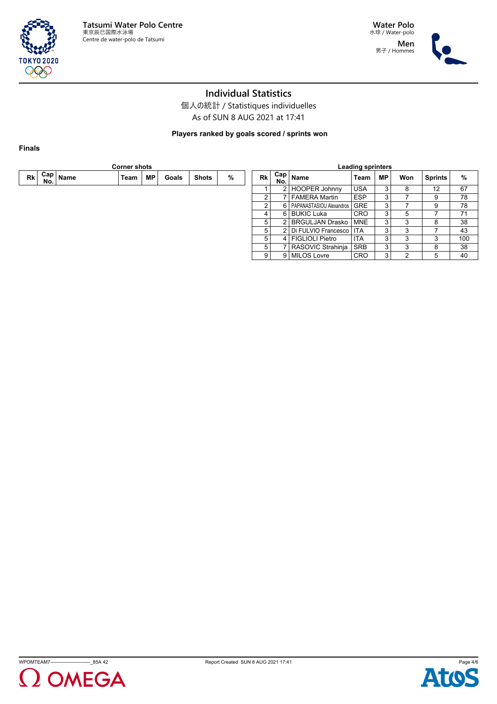



# **Individual Statistics**

個人の統計 / Statistiques individuelles As of SUN 8 AUG 2021 at 17:41

**Players ranked by goals scored / sprints won**

**Finals**

|    | <b>Corner shots</b> |                          |      |    |       |              |   |                                       | <b>Leading sprinters</b> |                              |            |                |                |                   |     |
|----|---------------------|--------------------------|------|----|-------|--------------|---|---------------------------------------|--------------------------|------------------------------|------------|----------------|----------------|-------------------|-----|
| Rk | No.                 | ⊶ ⊢Cap   <sub>Name</sub> | Team | МP | Goals | <b>Shots</b> | % | ⊶ ⊢Cap   <sub>Name</sub><br>Rk<br>No. |                          | Team                         | <b>MP</b>  | Won            | <b>Sprints</b> | $\%$              |     |
|    |                     |                          |      |    |       |              |   |                                       |                          | 2   HOOPER Johnny            | <b>USA</b> | 3              | 8              | $12 \overline{ }$ | 67  |
|    |                     |                          |      |    |       |              |   |                                       |                          | 7   FAMERA Martin            | <b>ESP</b> | 3              |                | 9                 | 78  |
|    |                     |                          |      |    |       |              |   |                                       |                          | 6   PAPANASTASIOU Alexandros | <b>GRE</b> | 3              |                | 9                 | 78  |
|    |                     |                          |      |    |       |              |   |                                       |                          | 6 BUKIC Luka                 | <b>CRO</b> | 3              |                |                   | 71  |
|    |                     |                          |      |    |       |              |   | 5                                     |                          | 2 BRGULJAN Drasko            | ' MNE      | 3              | 3              | 8                 | 38  |
|    |                     |                          |      |    |       |              |   | 5                                     |                          | 2   Di FULVIO Francesco      | <b>ITA</b> | 3              | 3              |                   | 43  |
|    |                     |                          |      |    |       |              |   | 5                                     |                          | 4   FIGLIOLI Pietro          | <b>ITA</b> | 3              | 3              | 3                 | 100 |
|    |                     |                          |      |    |       |              |   | 5                                     |                          | 7   RASOVIC Strahinja        | <b>SRB</b> | 3              | 3              | 8                 | 38  |
|    |                     |                          |      |    |       |              |   | 9                                     |                          | 9   MILOS Lovre              | <b>CRO</b> | 3 <sub>1</sub> |                | 5                 | 40  |





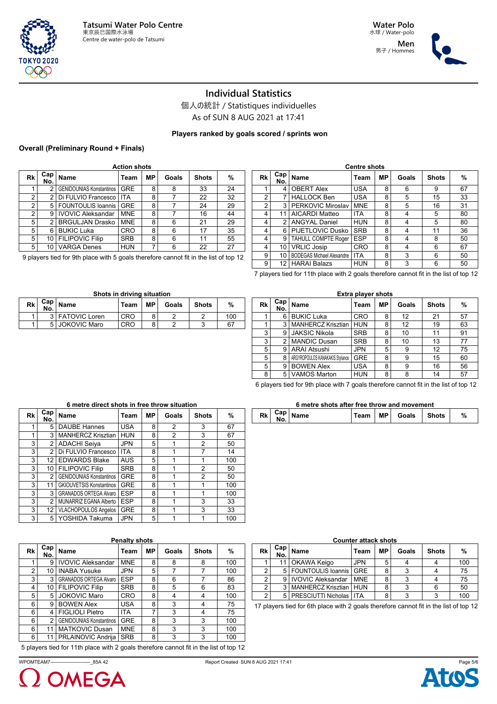

**Rk Cap**

男子 / Hommes



# **Individual Statistics**

個人の統計 / Statistiques individuelles As of SUN 8 AUG 2021 at 17:41

## **Players ranked by goals scored / sprints won**

#### **Overall (Preliminary Round + Finals)**

|    | <b>Action shots</b> |                                 |            |     |       |              |    |  |  |  |  |  |
|----|---------------------|---------------------------------|------------|-----|-------|--------------|----|--|--|--|--|--|
| Rk | Cap<br>No.          | <b>Name</b>                     | Team       | MP. | Goals | <b>Shots</b> | %  |  |  |  |  |  |
|    | $\mathfrak{p}$      | <b>GENIDOUNIAS Konstantinos</b> | <b>GRE</b> | 8   | 8     | 33           | 24 |  |  |  |  |  |
| 2  | 2                   | Di FULVIO Francesco             | <b>ITA</b> | 8   |       | 22           | 32 |  |  |  |  |  |
| 2  | 5                   | <b>FOUNTOULIS Ioannis</b>       | <b>GRE</b> | 8   |       | 24           | 29 |  |  |  |  |  |
| 2  | 9                   | <b>IVOVIC Aleksandar</b>        | <b>MNE</b> | 8   |       | 16           | 44 |  |  |  |  |  |
| 5  | $\mathfrak{p}$      | <b>BRGULJAN Drasko</b>          | <b>MNE</b> | 8   | 6     | 21           | 29 |  |  |  |  |  |
| 5  | 6                   | <b>BUKIC Luka</b>               | <b>CRO</b> | 8   | 6     | 17           | 35 |  |  |  |  |  |
| 5  | 10                  | <b>FILIPOVIC Filip</b>          | <b>SRB</b> | 8   | 6     | 11           | 55 |  |  |  |  |  |
| 5  | 10                  | <b>VARGA Denes</b>              | <b>HUN</b> | 7   | 6     | 22           | 27 |  |  |  |  |  |

9 players tied for 9th place with 5 goals therefore cannot fit in the list of top 12

**Shots in driving situation**

**No. Name Team MP Goals Shots %** 1 3 FATOVIC Loren CRO 8 2 2 100 1 5 JOKOVIC Maro CRO 8 2 3 67

| Rk | Cap!<br>No. | Name                             | Team       | МP | Goals | <b>Shots</b> | %  |
|----|-------------|----------------------------------|------------|----|-------|--------------|----|
| 1  | 4           | <b>OBERT Alex</b>                | <b>USA</b> | 8  | 6     | 9            | 67 |
| 2  |             | <b>HALLOCK Ben</b>               | <b>USA</b> | 8  | 5     | 15           | 33 |
| 2  | 3           | PERKOVIC Miroslav                | <b>MNE</b> | 8  | 5     | 16           | 31 |
| 4  | 11          | <b>AICARDI Matteo</b>            | <b>ITA</b> | 8  | 4     | 5            | 80 |
| 4  | 2           | <b>ANGYAL Daniel</b>             | <b>HUN</b> | 8  | 4     | 5            | 80 |
| 4  | 6           | PIJETLOVIC Dusko                 | <b>SRB</b> | 8  | 4     | 11           | 36 |
| 4  | 9           | <b>TAHULL COMPTE Roger</b>       | <b>ESP</b> | 8  | 4     | 8            | 50 |
| 4  | 10          | <b>VRLIC Josip</b>               | <b>CRO</b> | 8  | 4     | 6            | 67 |
| 9  | 10          | <b>BODEGAS Michael Alexandre</b> | <b>ITA</b> | 8  | 3     | 6            | 50 |
| 9  | 12          | <b>HARAI Balazs</b>              | <b>HUN</b> | 8  | 3     | 6            | 50 |

7 players tied for 11th place with 2 goals therefore cannot fit in the list of top 12

|    | <b>Extra player shots</b> |                                  |            |    |       |              |    |  |  |  |  |  |
|----|---------------------------|----------------------------------|------------|----|-------|--------------|----|--|--|--|--|--|
| Rk | Cap<br>No.                | <b>Name</b>                      | Team       | МP | Goals | <b>Shots</b> | %  |  |  |  |  |  |
|    | 6                         | <b>BUKIC Luka</b>                | CRO        | 8  | 12    | 21           | 57 |  |  |  |  |  |
| ◢  | 3                         | <b>MANHERCZ Krisztian</b>        | <b>HUN</b> | 8  | 12    | 19           | 63 |  |  |  |  |  |
| 3  | 9                         | <b>JAKSIC Nikola</b>             | <b>SRB</b> | 8  | 10    | 11           | 91 |  |  |  |  |  |
| 3  | $\mathfrak{p}$            | <b>MANDIC Dusan</b>              | <b>SRB</b> | 8  | 10    | 13           | 77 |  |  |  |  |  |
| 5  | 9                         | <b>ARAI Atsushi</b>              | <b>JPN</b> | 5  | 9     | 12           | 75 |  |  |  |  |  |
| 5  | 8                         | ARGYROPOULOS KANAKAKIS Stvlianos | <b>GRE</b> | 8  | 9     | 15           | 60 |  |  |  |  |  |
| 5  | 9                         | <b>BOWEN Alex</b>                | <b>USA</b> | 8  | 9     | 16           | 56 |  |  |  |  |  |
| 8  | 5                         | <b>VAMOS Marton</b>              | <b>HUN</b> | 8  | 8     | 14           | 57 |  |  |  |  |  |
|    |                           |                                  |            |    |       |              |    |  |  |  |  |  |

6 players tied for 9th place with 7 goals therefore cannot fit in the list of top 12

#### **Rk Cap No. Name Team MP Goals Shots %** 1 5 DAUBE Hannes USA 8 2 3 67 1 3 MANHERCZ Krisztian HUN 8 2 3 67 3 2 ADACHI Seiya JPN 5 1 2 50  $3$  2 Di FULVIO Francesco | ITA | 8 | 1 | 7 | 14 3 12 EDWARDS Blake AUS 5 1 1 1 100 3 10 FILIPOVIC Filip SRB 8 1 2 50 3 2 GENIDOUNIAS Konstantinos GRE 8 1 2 50 3 11 GKIOUVETSIS Konstantinos GRE 8 1 1 1 100 3 3 GRANADOS ORTEGA Alvaro ESP 8 1 1 1 100 3 2 MUNARRIZ EGANA Alberto ESP 8 1 3 33 3 12 VLACHOPOULOS Angelos GRE 8 1 3 33 3 5 YOSHIDA Takuma JPN 5 1 1 1 100

#### **6 metre direct shots in free throw situation**

| 6 metre shots after free throw and movement |  |                                                    |  |  |                           |  |   |  |  |  |  |
|---------------------------------------------|--|----------------------------------------------------|--|--|---------------------------|--|---|--|--|--|--|
|                                             |  | $Rk \begin{bmatrix} Cap \\ No. \end{bmatrix}$ Name |  |  | Team   MP   Goals   Shots |  | % |  |  |  |  |

**Counter attack shots**

**No. Name Team MP Goals Shots %** 1 11 OKAWA Keigo JPN 5 4 4 100<br>2 5 FOUNTOULIS Ioannis GRE 8 3 4 75 5 FOUNTOULIS Ioannis GRE 8 3 4 2 9 IVOVIC Aleksandar MNE 8 3 4 75 2 3 MANHERCZ Krisztian HUN 8 3 6 50 2 5 PRESCIUTTI Nicholas ITA 8 3 3 3 100 17 players tied for 6th place with 2 goals therefore cannot fit in the list of top 12

| <b>Penalty shots</b> |                         |                                 |            |    |       |              |     |  |  |  |  |
|----------------------|-------------------------|---------------------------------|------------|----|-------|--------------|-----|--|--|--|--|
| Rk                   | Cap <sub>1</sub><br>No. | Name                            | Team       | МP | Goals | <b>Shots</b> | %   |  |  |  |  |
| 4                    | 9                       | <b>IVOVIC Aleksandar</b>        | <b>MNE</b> | 8  | 8     | 8            | 100 |  |  |  |  |
| 2                    | 10                      | <b>INABA Yusuke</b>             | <b>JPN</b> | 5  |       |              | 100 |  |  |  |  |
| 3                    | 3                       | <b>GRANADOS ORTEGA Alvaro</b>   | <b>ESP</b> | 8  | 6     |              | 86  |  |  |  |  |
| 4                    | 10                      | <b>FILIPOVIC Filip</b>          | <b>SRB</b> | 8  | 5     | 6            | 83  |  |  |  |  |
| 5                    | 5                       | <b>JOKOVIC Maro</b>             | CRO        | 8  | 4     | 4            | 100 |  |  |  |  |
| 6                    | 9                       | <b>BOWEN Alex</b>               | <b>USA</b> | 8  | 3     | 4            | 75  |  |  |  |  |
| 6                    | 4                       | <b>FIGLIOLI Pietro</b>          | ITA        | 7  | 3     | 4            | 75  |  |  |  |  |
| 6                    | $\mathfrak{p}$          | <b>GENIDOUNIAS Konstantinos</b> | <b>GRE</b> | 8  | 3     | 3            | 100 |  |  |  |  |
| 6                    | 11                      | <b>MATKOVIC Dusan</b>           | <b>MNE</b> | 8  | 3     | 3            | 100 |  |  |  |  |
| 6                    | 11                      | PRLAINOVIC Andrija              | <b>SRB</b> | 8  | 3     | 3            | 100 |  |  |  |  |

5 players tied for 11th place with 2 goals therefore cannot fit in the list of top 12

WPOMTEAM7-------------------------\_85A 42 Report Created SUN 8 AUG 2021 17:41



**Rk Cap**